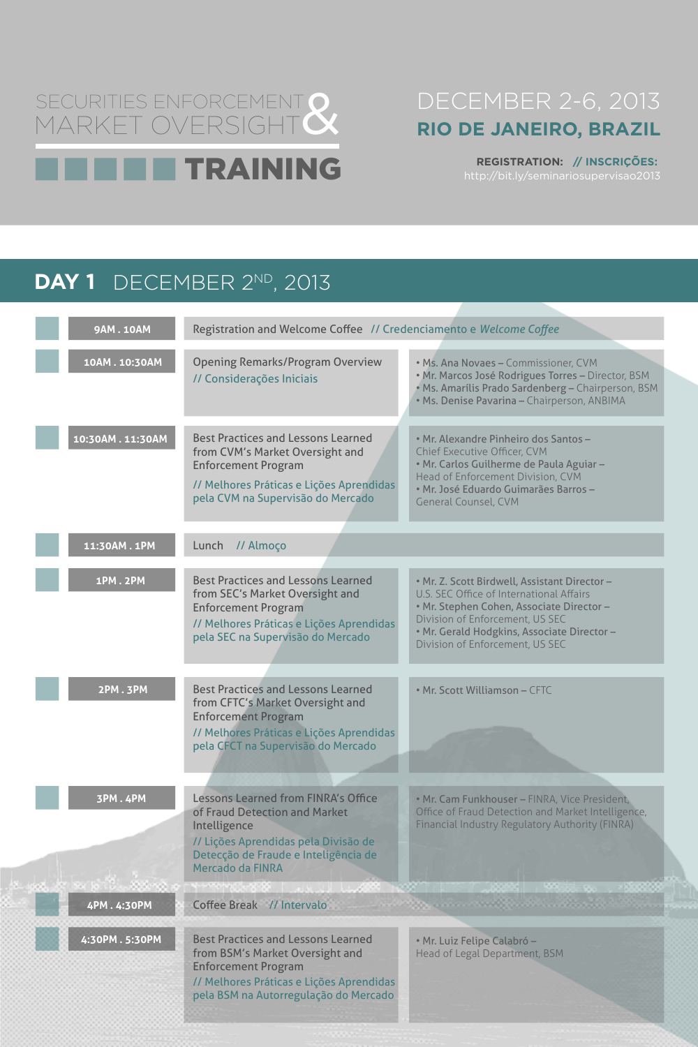# SECURITIES ENFORCEMENT Q<br>MARKET OVERSIGHT Q MARKET OVERSIGHT TRAINING

# DECEMBER 2-6, 2013 **RIO DE JANEIRO, BRAZIL**

## **REGISTRATION: // INSCRIÇÕES:** http://bit.ly/seminariosupervisao2013

# **DAY 1** DECEMBER 2ND, 2013

| <b>9AM.10AM</b> | Registration and Welcome Coffee // Credenciamento e Welcome Coffee                                                                                                                            |                                                                                                                                                                                                                                                            |
|-----------------|-----------------------------------------------------------------------------------------------------------------------------------------------------------------------------------------------|------------------------------------------------------------------------------------------------------------------------------------------------------------------------------------------------------------------------------------------------------------|
| 10AM.10:30AM    | <b>Opening Remarks/Program Overview</b><br>// Considerações Iniciais                                                                                                                          | • Ms. Ana Novaes - Commissioner, CVM<br>· Mr. Marcos José Rodrigues Torres - Director, BSM<br>· Ms. Amarílis Prado Sardenberg - Chairperson, BSM<br>· Ms. Denise Pavarina - Chairperson, ANBIMA                                                            |
| 10:30AM.11:30AM | <b>Best Practices and Lessons Learned</b><br>from CVM's Market Oversight and<br><b>Enforcement Program</b><br>// Melhores Práticas e Lições Aprendidas<br>pela CVM na Supervisão do Mercado   | • Mr. Alexandre Pinheiro dos Santos -<br>Chief Executive Officer, CVM<br>• Mr. Carlos Guilherme de Paula Aguiar -<br>Head of Enforcement Division, CVM<br>· Mr. José Eduardo Guimarães Barros -<br><b>General Counsel, CVM</b>                             |
| 11:30AM.1PM     | // Almoço<br>Lunch                                                                                                                                                                            |                                                                                                                                                                                                                                                            |
| <b>1PM.2PM</b>  | <b>Best Practices and Lessons Learned</b><br>from SEC's Market Oversight and<br><b>Enforcement Program</b><br>// Melhores Práticas e Lições Aprendidas<br>pela SEC na Supervisão do Mercado   | . Mr. Z. Scott Birdwell, Assistant Director-<br>U.S. SEC Office of International Affairs<br>• Mr. Stephen Cohen, Associate Director -<br>Division of Enforcement, US SEC<br>· Mr. Gerald Hodgkins, Associate Director -<br>Division of Enforcement, US SEC |
| 2PM.3PM         | <b>Best Practices and Lessons Learned</b><br>from CFTC's Market Oversight and<br><b>Enforcement Program</b><br>// Melhores Práticas e Lições Aprendidas<br>pela CFCT na Supervisão do Mercado | • Mr. Scott Williamson - CFTC                                                                                                                                                                                                                              |

Lessons Learned from FINRA's Office of Fraud Detection and Market Intelligence

// Lições Aprendidas pela Divisão de Detecção de Fraude e Inteligência de Mercado da FINRA

• Mr. Cam Funkhouser – FINRA, Vice President, Office of Fraud Detection and Market Intelligence, Financial Industry Regulatory Authority (FINRA)

// Melhores Práticas e Lições Aprendidas pela BSM na Autorregulação do Mercado Best Practices and Lessons Learned from BSM's Market Oversight and Enforcement Program

**3PM . 4PM**

• Mr. Luiz Felipe Calabró – Head of Legal Department, BSM

**Designation of the Committee of the Committee** 

**4:30PM . 5:30PM**

**4PM . 4:30PM** Coffee Break // Intervalo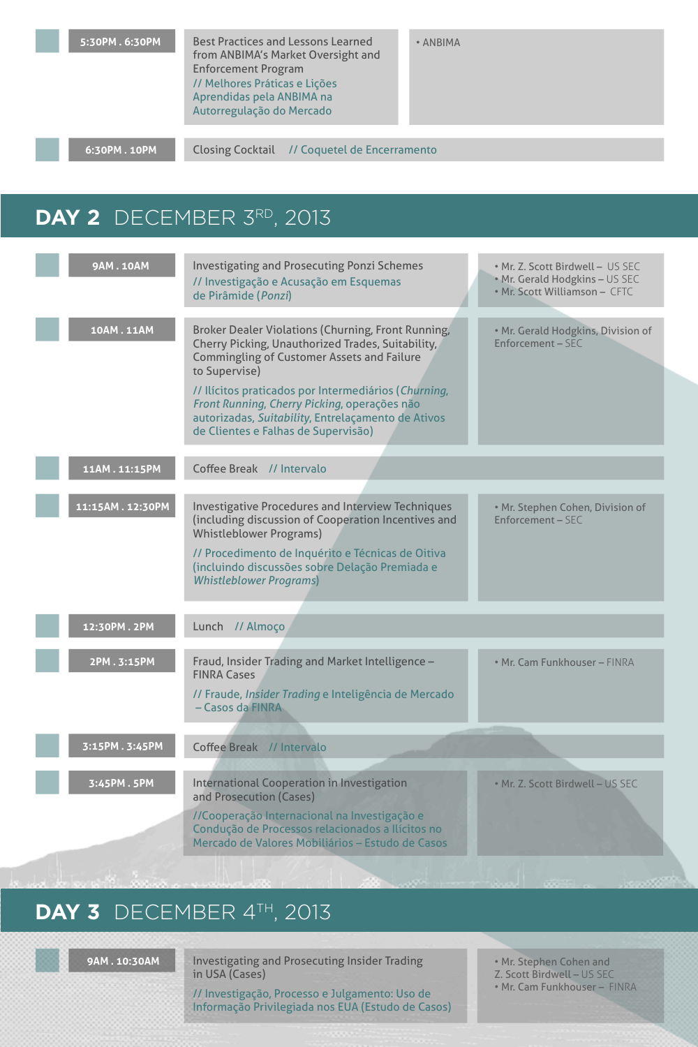**6:30PM . 10PM** Closing Cocktail // Coquetel de Encerramento

# **DAY 2** DECEMBER 3RD, 2013

// Melhores Práticas e Lições Aprendidas pela ANBIMA na Autorregulação do Mercado Best Practices and Lessons Learned **5:30PM . 6:30PM** • ANBIMA from ANBIMA's Market Oversight and Enforcement Program

| <b>9AM.10AM</b>  | <b>Investigating and Prosecuting Ponzi Schemes</b><br>// Investigação e Acusação em Esquemas                                                                                                      | • Mr. Z. Scott Birdwell - US SEC<br>. Mr. Gerald Hodgkins - US SEC<br>• Mr. Scott Williamson - CFTC |
|------------------|---------------------------------------------------------------------------------------------------------------------------------------------------------------------------------------------------|-----------------------------------------------------------------------------------------------------|
|                  | de Pirâmide (Ponzi)                                                                                                                                                                               |                                                                                                     |
|                  |                                                                                                                                                                                                   |                                                                                                     |
| <b>10AM.11AM</b> | <b>Broker Dealer Violations (Churning, Front Running,</b><br>Cherry Picking, Unauthorized Trades, Suitability,<br><b>Commingling of Customer Assets and Failure</b><br>to Supervise)              | . Mr. Gerald Hodgkins, Division of<br><b>Enforcement - SEC</b>                                      |
|                  | // Ilícitos praticados por Intermediários (Churning,<br>Front Running, Cherry Picking, operações não<br>autorizadas, Suitability, Entrelaçamento de Ativos<br>de Clientes e Falhas de Supervisão) |                                                                                                     |
|                  |                                                                                                                                                                                                   |                                                                                                     |
| 11AM.11:15PM     | Coffee Break // Intervalo                                                                                                                                                                         |                                                                                                     |
|                  |                                                                                                                                                                                                   |                                                                                                     |
| 11:15AM.12:30PM  | <b>Investigative Procedures and Interview Techniques</b><br>(including discussion of Cooperation Incentives and<br><b>Whistleblower Programs)</b>                                                 | . Mr. Stephen Cohen, Division of<br><b>Enforcement - SEC</b>                                        |
|                  | // Procedimento de Inquérito e Técnicas de Oitiva<br>(incluindo discussões sobre Delação Premiada e<br><b>Whistleblower Programs</b> )                                                            |                                                                                                     |
|                  |                                                                                                                                                                                                   |                                                                                                     |
| 12:30PM.2PM      | Lunch // Almoço                                                                                                                                                                                   |                                                                                                     |
| 2PM.3:15PM       | Fraud, Insider Trading and Market Intelligence -<br><b>FINRA Cases</b>                                                                                                                            | • Mr. Cam Funkhouser - FINRA                                                                        |
|                  | // Fraude, Insider Trading e Inteligência de Mercado<br>- Casos da FINRA                                                                                                                          |                                                                                                     |
|                  |                                                                                                                                                                                                   |                                                                                                     |
| 3:15PM.3:45PM    | Coffee Break // Intervalo                                                                                                                                                                         |                                                                                                     |
|                  |                                                                                                                                                                                                   |                                                                                                     |
| 3:45PM.5PM       | <b>International Cooperation in Investigation</b>                                                                                                                                                 | . Mr. Z. Scott Birdwell - US SEC                                                                    |

and Prosecution (Cases)

//Cooperação Internacional na Investigação e Condução de Processos relacionados a Ilícitos no Mercado de Valores Mobiliários – Estudo de Casos

## DAY 3 DECEMBER 4<sup>TH</sup>, 2013

Investigating and Prosecuting Insider Trading in USA (Cases)

// Investigação, Processo e Julgamento: Uso de Informação Privilegiada nos EUA (Estudo de Casos)

• Mr. Stephen Cohen and Z. Scott Birdwell – US SEC • Mr. Cam Funkhouser – FINRA

## **9AM . 10:30AM**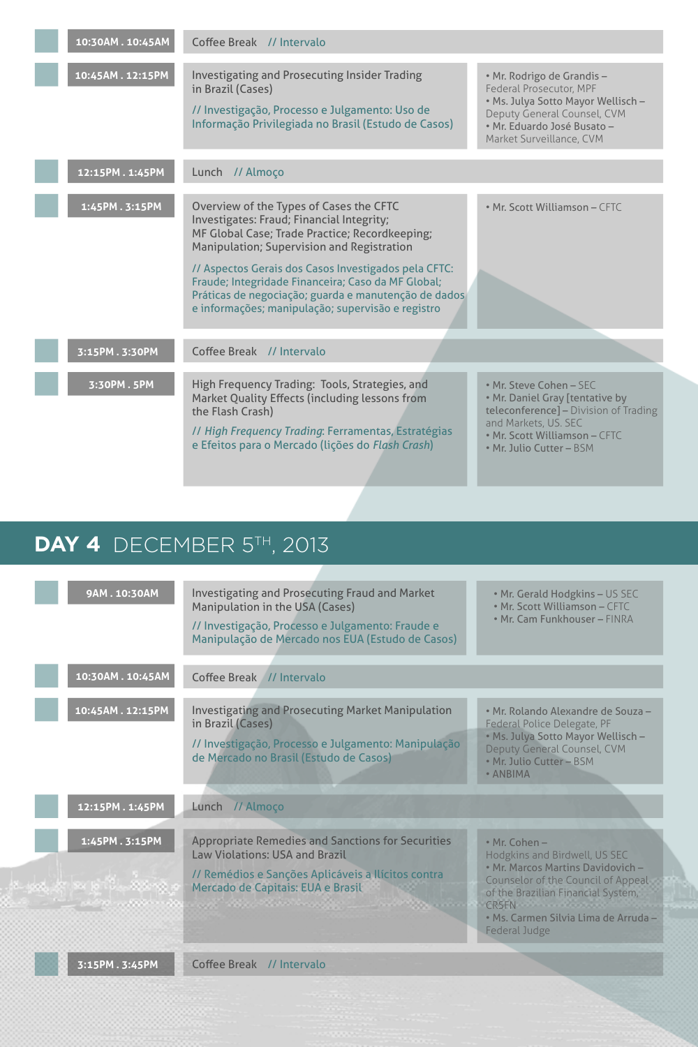| 10:30AM. 10:45AM            | Coffee Break // Intervalo                                                                                                                                                                                                                                                                                                                                                                                              |                                                                                                                                                                                          |
|-----------------------------|------------------------------------------------------------------------------------------------------------------------------------------------------------------------------------------------------------------------------------------------------------------------------------------------------------------------------------------------------------------------------------------------------------------------|------------------------------------------------------------------------------------------------------------------------------------------------------------------------------------------|
| 10:45AM.12:15PM             | <b>Investigating and Prosecuting Insider Trading</b><br>in Brazil (Cases)<br>// Investigação, Processo e Julgamento: Uso de<br>Informação Privilegiada no Brasil (Estudo de Casos)                                                                                                                                                                                                                                     | • Mr. Rodrigo de Grandis -<br>Federal Prosecutor, MPF<br>. Ms. Julya Sotto Mayor Wellisch -<br>Deputy General Counsel, CVM<br>· Mr. Eduardo José Busato -<br>Market Surveillance, CVM    |
| 12:15PM.1:45PM              | Lunch // Almoço                                                                                                                                                                                                                                                                                                                                                                                                        |                                                                                                                                                                                          |
| 1:45PM.3:15PM               | Overview of the Types of Cases the CFTC<br>Investigates: Fraud; Financial Integrity;<br>MF Global Case; Trade Practice; Recordkeeping;<br><b>Manipulation; Supervision and Registration</b><br>// Aspectos Gerais dos Casos Investigados pela CFTC:<br>Fraude; Integridade Financeira; Caso da MF Global;<br>Práticas de negociação; guarda e manutenção de dados<br>e informações; manipulação; supervisão e registro | • Mr. Scott Williamson - CFTC                                                                                                                                                            |
| 3:15PM.3:30PM               | Coffee Break // Intervalo                                                                                                                                                                                                                                                                                                                                                                                              |                                                                                                                                                                                          |
| 3:30PM.5PM                  | High Frequency Trading: Tools, Strategies, and<br>Market Quality Effects (including lessons from<br>the Flash Crash)<br>// High Frequency Trading: Ferramentas, Estratégias<br>e Efeitos para o Mercado (lições do Flash Crash)                                                                                                                                                                                        | • Mr. Steve Cohen - SEC<br>. Mr. Daniel Gray [tentative by<br>teleconference] - Division of Trading<br>and Markets, US. SEC<br>• Mr. Scott Williamson - CFTC<br>• Mr. Julio Cutter - BSM |
|                             |                                                                                                                                                                                                                                                                                                                                                                                                                        |                                                                                                                                                                                          |
| DAY 4 DECEMBER $5TH$ , 2013 |                                                                                                                                                                                                                                                                                                                                                                                                                        |                                                                                                                                                                                          |

| 9AM.10:30AM      | <b>Investigating and Prosecuting Fraud and Market</b><br>Manipulation in the USA (Cases)<br>// Investigação, Processo e Julgamento: Fraude e<br>Manipulação de Mercado nos EUA (Estudo de Casos) | • Mr. Gerald Hodgkins – US SEC<br>• Mr. Scott Williamson - CFTC<br>• Mr. Cam Funkhouser - FINRA           |
|------------------|--------------------------------------------------------------------------------------------------------------------------------------------------------------------------------------------------|-----------------------------------------------------------------------------------------------------------|
|                  |                                                                                                                                                                                                  |                                                                                                           |
| 10:30AM. 10:45AM | Coffee Break // Intervalo                                                                                                                                                                        |                                                                                                           |
|                  |                                                                                                                                                                                                  |                                                                                                           |
| 10:45AM.12:15PM  | <b>Investigating and Prosecuting Market Manipulation</b><br>in Brazil (Cases)                                                                                                                    | · Mr. Rolando Alexandre de Souza -<br>Federal Police Delegate, PF                                         |
|                  | // Investigação, Processo e Julgamento: Manipulação<br>de Mercado no Brasil (Estudo de Casos)                                                                                                    | . Ms. Julya Sotto Mayor Wellisch -<br>Deputy General Counsel, CVM<br>· Mr. Julio Cutter - BSM<br>• ANBIMA |

Appropriate Remedies and Sanctions for Securities Law Violations: USA and Brazil

// Remédios e Sanções Aplicáveis a Ilícitos contra Mercado de Capitais: EUA e Brasil 

<u>n and a band and a band and a band and a band and a band and a band and a band and a band and a band and a band a</u>

• Mr. Cohen – Hodgkins and Birdwell, US SEC • Mr. Marcos Martins Davidovich – Counselor of the Council of Appeal of the Brazilian Financial System, CRSFN **CRSFN** • Ms. Carmen Silvia Lima de Arruda – Federal Judge

**1:45PM . 3:15PM**

رەنبە ئايرىم پرېمب

## **12:15PM . 1:45PM** Lunch // Almoço

### **3:15PM . 3:45PM** Coffee Break // Intervalo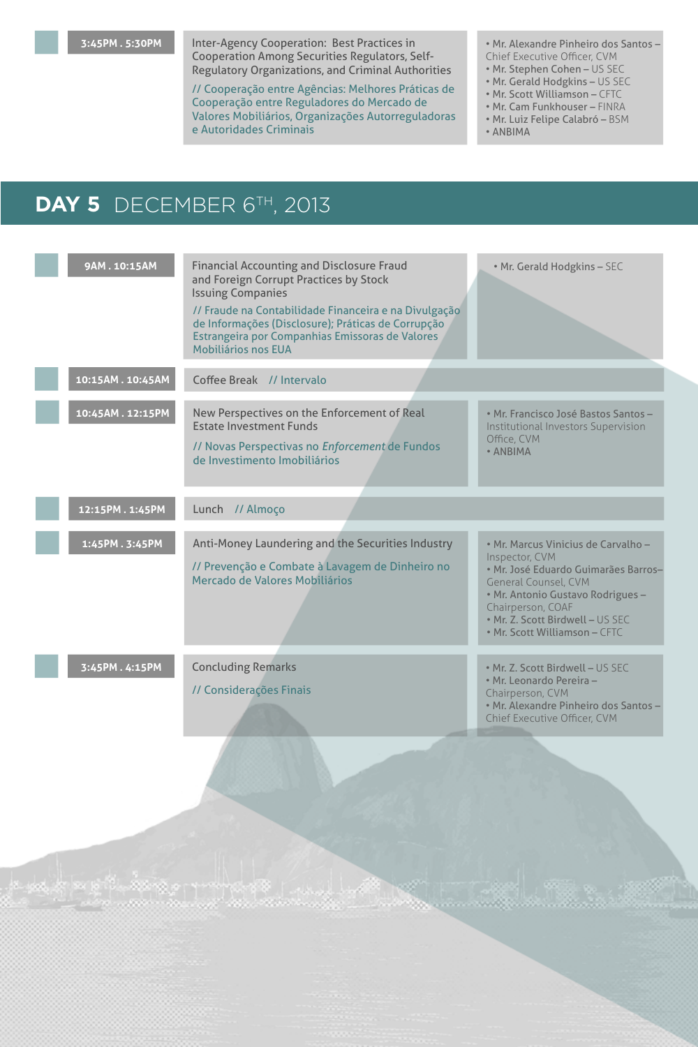| 9AM.10:15AM      | <b>Financial Accounting and Disclosure Fraud</b><br>and Foreign Corrupt Practices by Stock<br><b>Issuing Companies</b><br>// Fraude na Contabilidade Financeira e na Divulgação<br>de Informações (Disclosure); Práticas de Corrupção<br>Estrangeira por Companhias Emissoras de Valores<br><b>Mobiliários nos EUA</b> | . Mr. Gerald Hodgkins - SEC                                                                                                                                                                                                                                 |
|------------------|------------------------------------------------------------------------------------------------------------------------------------------------------------------------------------------------------------------------------------------------------------------------------------------------------------------------|-------------------------------------------------------------------------------------------------------------------------------------------------------------------------------------------------------------------------------------------------------------|
| 10:15AM. 10:45AM | Coffee Break // Intervalo                                                                                                                                                                                                                                                                                              |                                                                                                                                                                                                                                                             |
| 10:45AM.12:15PM  | New Perspectives on the Enforcement of Real<br><b>Estate Investment Funds</b><br>// Novas Perspectivas no Enforcement de Fundos<br>de Investimento Imobiliários                                                                                                                                                        | • Mr. Francisco José Bastos Santos -<br>Institutional Investors Supervision<br>Office, CVM<br>• ANBIMA                                                                                                                                                      |
| 12:15PM.1:45PM   | Lunch // Almoço                                                                                                                                                                                                                                                                                                        |                                                                                                                                                                                                                                                             |
| 1:45PM.3:45PM    | Anti-Money Laundering and the Securities Industry<br>// Prevenção e Combate à Lavagem de Dinheiro no<br>Mercado de Valores Mobiliários                                                                                                                                                                                 | · Mr. Marcus Vinicius de Carvalho -<br>Inspector, CVM<br>· Mr. José Eduardo Guimarães Barros-<br><b>General Counsel, CVM</b><br>• Mr. Antonio Gustavo Rodrigues -<br>Chairperson, COAF<br>. Mr. Z. Scott Birdwell - US SEC<br>• Mr. Scott Williamson - CFTC |
| 3:45PM.4:15PM    | <b>Concluding Remarks</b><br>// Considerações Finais                                                                                                                                                                                                                                                                   | • Mr. Z. Scott Birdwell - US SEC<br>• Mr. Leonardo Pereira -<br>Chairperson, CVM<br>• Mr. Alexandre Pinheiro dos Santos -<br>Chief Executive Officer, CVM                                                                                                   |

Inter-Agency Cooperation: Best Practices in Cooperation Among Securities Regulators, Self-Regulatory Organizations, and Criminal Authorities

// Cooperação entre Agências: Melhores Práticas de Cooperação entre Reguladores do Mercado de Valores Mobiliários, Organizações Autorreguladoras e Autoridades Criminais

• Mr. Alexandre Pinheiro dos Santos – Chief Executive Officer, CVM

- Mr. Stephen Cohen US SEC
- Mr. Gerald Hodgkins US SEC
- Mr. Scott Williamson CFTC
- Mr. Cam Funkhouser FINRA
- Mr. Luiz Felipe Calabró BSM

<u>er Liberat</u>

• ANBIMA

# DAY 5 DECEMBER 6<sup>TH</sup>, 2013

## **3:45PM . 5:30PM**